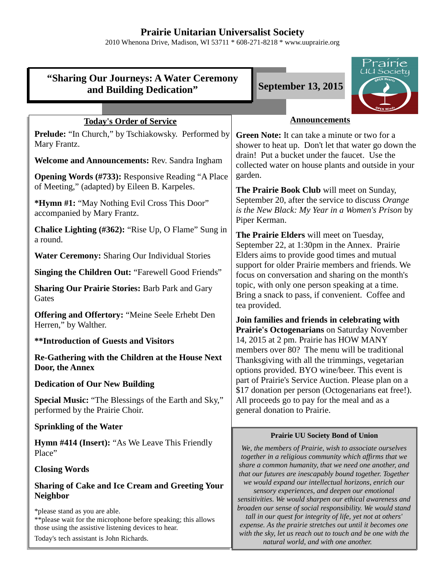## **Prairie Unitarian Universalist Society**

2010 Whenona Drive, Madison, WI 53711 \* 608-271-8218 \* www.uuprairie.org

|                                                                                                                                                          | <i>rairie</i><br><u>UU Society</u>                                                                                                                                                                                                                                                                                                                                                                                                                                                                   |  |  |  |
|----------------------------------------------------------------------------------------------------------------------------------------------------------|------------------------------------------------------------------------------------------------------------------------------------------------------------------------------------------------------------------------------------------------------------------------------------------------------------------------------------------------------------------------------------------------------------------------------------------------------------------------------------------------------|--|--|--|
| "Sharing Our Journeys: A Water Ceremony<br><b>September 13, 2015</b><br>and Building Dedication"                                                         |                                                                                                                                                                                                                                                                                                                                                                                                                                                                                                      |  |  |  |
|                                                                                                                                                          |                                                                                                                                                                                                                                                                                                                                                                                                                                                                                                      |  |  |  |
| <b>Today's Order of Service</b>                                                                                                                          | <b>Announcements</b>                                                                                                                                                                                                                                                                                                                                                                                                                                                                                 |  |  |  |
| <b>Prelude:</b> "In Church," by Tschiakowsky. Performed by<br>Mary Frantz.                                                                               | Green Note: It can take a minute or two for a<br>shower to heat up. Don't let that water go down the<br>drain! Put a bucket under the faucet. Use the<br>collected water on house plants and outside in your                                                                                                                                                                                                                                                                                         |  |  |  |
| Welcome and Announcements: Rev. Sandra Ingham                                                                                                            |                                                                                                                                                                                                                                                                                                                                                                                                                                                                                                      |  |  |  |
| <b>Opening Words (#733): Responsive Reading "A Place</b><br>of Meeting," (adapted) by Eileen B. Karpeles.                                                | garden.<br>The Prairie Book Club will meet on Sunday,                                                                                                                                                                                                                                                                                                                                                                                                                                                |  |  |  |
| * <b>Hymn</b> #1: "May Nothing Evil Cross This Door"<br>accompanied by Mary Frantz.                                                                      | September 20, after the service to discuss Orange<br>is the New Black: My Year in a Women's Prison by<br>Piper Kerman.<br>The Prairie Elders will meet on Tuesday,<br>September 22, at 1:30pm in the Annex. Prairie<br>Elders aims to provide good times and mutual<br>support for older Prairie members and friends. We<br>focus on conversation and sharing on the month's<br>topic, with only one person speaking at a time.<br>Bring a snack to pass, if convenient. Coffee and<br>tea provided. |  |  |  |
| <b>Chalice Lighting (#362): "Rise Up, O Flame" Sung in</b><br>a round.                                                                                   |                                                                                                                                                                                                                                                                                                                                                                                                                                                                                                      |  |  |  |
| <b>Water Ceremony: Sharing Our Individual Stories</b>                                                                                                    |                                                                                                                                                                                                                                                                                                                                                                                                                                                                                                      |  |  |  |
| Singing the Children Out: "Farewell Good Friends"                                                                                                        |                                                                                                                                                                                                                                                                                                                                                                                                                                                                                                      |  |  |  |
| <b>Sharing Our Prairie Stories: Barb Park and Gary</b><br>Gates                                                                                          |                                                                                                                                                                                                                                                                                                                                                                                                                                                                                                      |  |  |  |
| <b>Offering and Offertory: "Meine Seele Erhebt Den</b><br>Herren," by Walther.                                                                           | Join families and friends in celebrating with<br>Prairie's Octogenarians on Saturday November<br>14, 2015 at 2 pm. Prairie has HOW MANY                                                                                                                                                                                                                                                                                                                                                              |  |  |  |
| <b>**Introduction of Guests and Visitors</b>                                                                                                             |                                                                                                                                                                                                                                                                                                                                                                                                                                                                                                      |  |  |  |
| Re-Gathering with the Children at the House Next<br>Door, the Annex                                                                                      | members over 80? The menu will be traditional<br>Thanksgiving with all the trimmings, vegetarian<br>options provided. BYO wine/beer. This event is                                                                                                                                                                                                                                                                                                                                                   |  |  |  |
| <b>Dedication of Our New Building</b>                                                                                                                    | part of Prairie's Service Auction. Please plan on a<br>\$17 donation per person (Octogenarians eat free!).<br>All proceeds go to pay for the meal and as a<br>general donation to Prairie.                                                                                                                                                                                                                                                                                                           |  |  |  |
| <b>Special Music:</b> "The Blessings of the Earth and Sky,"<br>performed by the Prairie Choir.                                                           |                                                                                                                                                                                                                                                                                                                                                                                                                                                                                                      |  |  |  |
| <b>Sprinkling of the Water</b>                                                                                                                           |                                                                                                                                                                                                                                                                                                                                                                                                                                                                                                      |  |  |  |
| Hymn #414 (Insert): "As We Leave This Friendly<br>Place"                                                                                                 | <b>Prairie UU Society Bond of Union</b><br>We, the members of Prairie, wish to associate ourselves<br>together in a religious community which affirms that we                                                                                                                                                                                                                                                                                                                                        |  |  |  |
| <b>Closing Words</b>                                                                                                                                     | share a common humanity, that we need one another, and<br>that our futures are inescapably bound together. Together                                                                                                                                                                                                                                                                                                                                                                                  |  |  |  |
| <b>Sharing of Cake and Ice Cream and Greeting Your</b><br><b>Neighbor</b>                                                                                | we would expand our intellectual horizons, enrich our<br>sensory experiences, and deepen our emotional<br>sensitivities. We would sharpen our ethical awareness and<br>broaden our sense of social responsibility. We would stand<br>tall in our quest for integrity of life, yet not at others'<br>expense. As the prairie stretches out until it becomes one                                                                                                                                       |  |  |  |
| *please stand as you are able.<br>** please wait for the microphone before speaking; this allows<br>those using the assistive listening devices to hear. |                                                                                                                                                                                                                                                                                                                                                                                                                                                                                                      |  |  |  |

Today's tech assistant is John Richards.

*with the sky, let us reach out to touch and be one with the natural world, and with one another.*